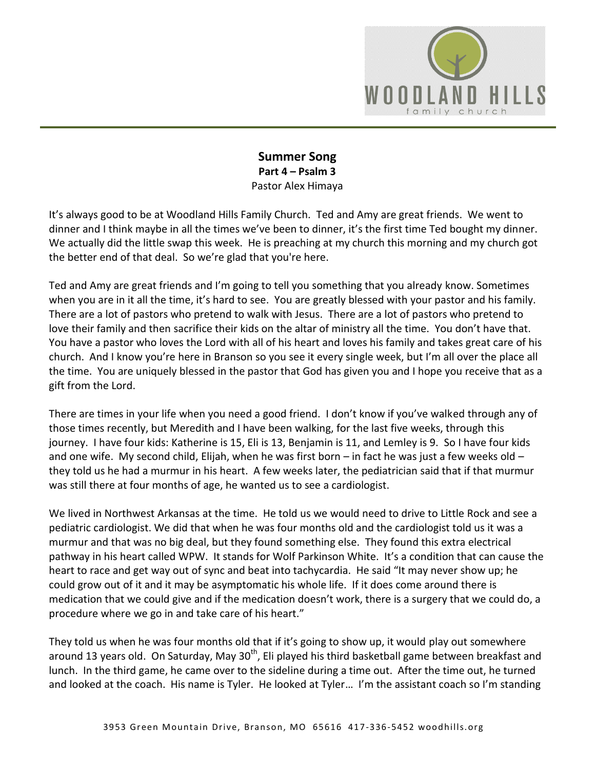

### **Summer Song Part 4 – Psalm 3**  Pastor Alex Himaya

It's always good to be at Woodland Hills Family Church. Ted and Amy are great friends. We went to dinner and I think maybe in all the times we've been to dinner, it's the first time Ted bought my dinner. We actually did the little swap this week. He is preaching at my church this morning and my church got the better end of that deal. So we're glad that you're here.

Ted and Amy are great friends and I'm going to tell you something that you already know. Sometimes when you are in it all the time, it's hard to see. You are greatly blessed with your pastor and his family. There are a lot of pastors who pretend to walk with Jesus. There are a lot of pastors who pretend to love their family and then sacrifice their kids on the altar of ministry all the time. You don't have that. You have a pastor who loves the Lord with all of his heart and loves his family and takes great care of his church. And I know you're here in Branson so you see it every single week, but I'm all over the place all the time. You are uniquely blessed in the pastor that God has given you and I hope you receive that as a gift from the Lord.

There are times in your life when you need a good friend. I don't know if you've walked through any of those times recently, but Meredith and I have been walking, for the last five weeks, through this journey. I have four kids: Katherine is 15, Eli is 13, Benjamin is 11, and Lemley is 9. So I have four kids and one wife. My second child, Elijah, when he was first born – in fact he was just a few weeks old – they told us he had a murmur in his heart. A few weeks later, the pediatrician said that if that murmur was still there at four months of age, he wanted us to see a cardiologist.

We lived in Northwest Arkansas at the time. He told us we would need to drive to Little Rock and see a pediatric cardiologist. We did that when he was four months old and the cardiologist told us it was a murmur and that was no big deal, but they found something else. They found this extra electrical pathway in his heart called WPW. It stands for Wolf Parkinson White. It's a condition that can cause the heart to race and get way out of sync and beat into tachycardia. He said "It may never show up; he could grow out of it and it may be asymptomatic his whole life. If it does come around there is medication that we could give and if the medication doesn't work, there is a surgery that we could do, a procedure where we go in and take care of his heart."

They told us when he was four months old that if it's going to show up, it would play out somewhere around 13 years old. On Saturday, May 30<sup>th</sup>, Eli played his third basketball game between breakfast and lunch. In the third game, he came over to the sideline during a time out. After the time out, he turned and looked at the coach. His name is Tyler. He looked at Tyler… I'm the assistant coach so I'm standing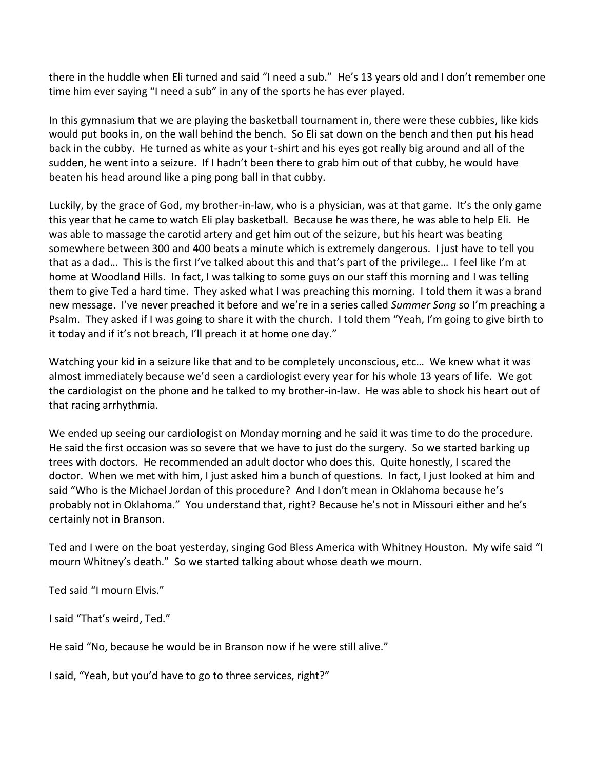there in the huddle when Eli turned and said "I need a sub." He's 13 years old and I don't remember one time him ever saying "I need a sub" in any of the sports he has ever played.

In this gymnasium that we are playing the basketball tournament in, there were these cubbies, like kids would put books in, on the wall behind the bench. So Eli sat down on the bench and then put his head back in the cubby. He turned as white as your t-shirt and his eyes got really big around and all of the sudden, he went into a seizure. If I hadn't been there to grab him out of that cubby, he would have beaten his head around like a ping pong ball in that cubby.

Luckily, by the grace of God, my brother-in-law, who is a physician, was at that game. It's the only game this year that he came to watch Eli play basketball. Because he was there, he was able to help Eli. He was able to massage the carotid artery and get him out of the seizure, but his heart was beating somewhere between 300 and 400 beats a minute which is extremely dangerous. I just have to tell you that as a dad… This is the first I've talked about this and that's part of the privilege… I feel like I'm at home at Woodland Hills. In fact, I was talking to some guys on our staff this morning and I was telling them to give Ted a hard time. They asked what I was preaching this morning. I told them it was a brand new message. I've never preached it before and we're in a series called *Summer Song* so I'm preaching a Psalm. They asked if I was going to share it with the church. I told them "Yeah, I'm going to give birth to it today and if it's not breach, I'll preach it at home one day."

Watching your kid in a seizure like that and to be completely unconscious, etc… We knew what it was almost immediately because we'd seen a cardiologist every year for his whole 13 years of life. We got the cardiologist on the phone and he talked to my brother-in-law. He was able to shock his heart out of that racing arrhythmia.

We ended up seeing our cardiologist on Monday morning and he said it was time to do the procedure. He said the first occasion was so severe that we have to just do the surgery. So we started barking up trees with doctors. He recommended an adult doctor who does this. Quite honestly, I scared the doctor. When we met with him, I just asked him a bunch of questions. In fact, I just looked at him and said "Who is the Michael Jordan of this procedure? And I don't mean in Oklahoma because he's probably not in Oklahoma." You understand that, right? Because he's not in Missouri either and he's certainly not in Branson.

Ted and I were on the boat yesterday, singing God Bless America with Whitney Houston. My wife said "I mourn Whitney's death." So we started talking about whose death we mourn.

Ted said "I mourn Elvis."

I said "That's weird, Ted."

He said "No, because he would be in Branson now if he were still alive."

I said, "Yeah, but you'd have to go to three services, right?"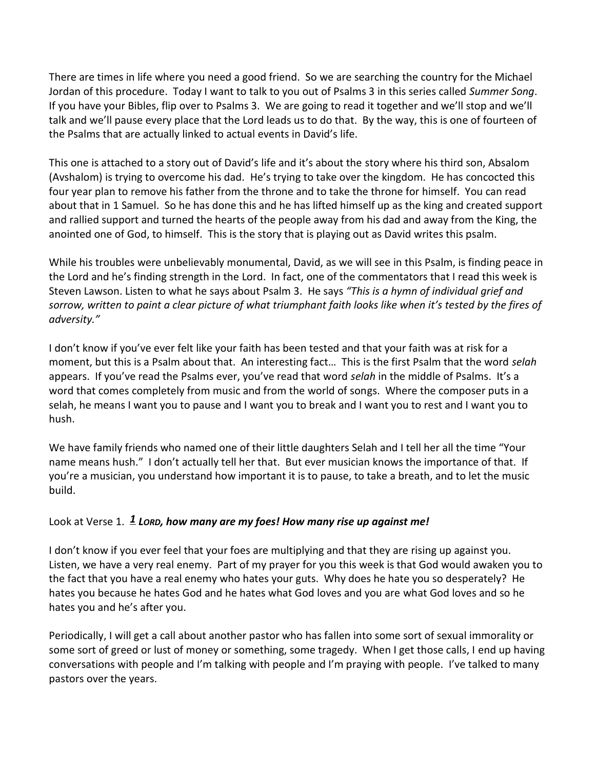There are times in life where you need a good friend. So we are searching the country for the Michael Jordan of this procedure. Today I want to talk to you out of Psalms 3 in this series called *Summer Song*. If you have your Bibles, flip over to Psalms 3. We are going to read it together and we'll stop and we'll talk and we'll pause every place that the Lord leads us to do that. By the way, this is one of fourteen of the Psalms that are actually linked to actual events in David's life.

This one is attached to a story out of David's life and it's about the story where his third son, Absalom (Avshalom) is trying to overcome his dad. He's trying to take over the kingdom. He has concocted this four year plan to remove his father from the throne and to take the throne for himself. You can read about that in 1 Samuel. So he has done this and he has lifted himself up as the king and created support and rallied support and turned the hearts of the people away from his dad and away from the King, the anointed one of God, to himself. This is the story that is playing out as David writes this psalm.

While his troubles were unbelievably monumental, David, as we will see in this Psalm, is finding peace in the Lord and he's finding strength in the Lord. In fact, one of the commentators that I read this week is Steven Lawson. Listen to what he says about Psalm 3. He says *"This is a hymn of individual grief and sorrow, written to paint a clear picture of what triumphant faith looks like when it's tested by the fires of adversity."*

I don't know if you've ever felt like your faith has been tested and that your faith was at risk for a moment, but this is a Psalm about that. An interesting fact… This is the first Psalm that the word *selah* appears. If you've read the Psalms ever, you've read that word *selah* in the middle of Psalms. It's a word that comes completely from music and from the world of songs. Where the composer puts in a selah, he means I want you to pause and I want you to break and I want you to rest and I want you to hush.

We have family friends who named one of their little daughters Selah and I tell her all the time "Your name means hush." I don't actually tell her that. But ever musician knows the importance of that. If you're a musician, you understand how important it is to pause, to take a breath, and to let the music build.

# Look at Verse 1. *[1](http://www.studylight.org/desk/?q=ps%203:1&t1=en_niv&sr=1) LORD, how many are my foes! How many rise up against me!*

I don't know if you ever feel that your foes are multiplying and that they are rising up against you. Listen, we have a very real enemy. Part of my prayer for you this week is that God would awaken you to the fact that you have a real enemy who hates your guts. Why does he hate you so desperately? He hates you because he hates God and he hates what God loves and you are what God loves and so he hates you and he's after you.

Periodically, I will get a call about another pastor who has fallen into some sort of sexual immorality or some sort of greed or lust of money or something, some tragedy. When I get those calls, I end up having conversations with people and I'm talking with people and I'm praying with people. I've talked to many pastors over the years.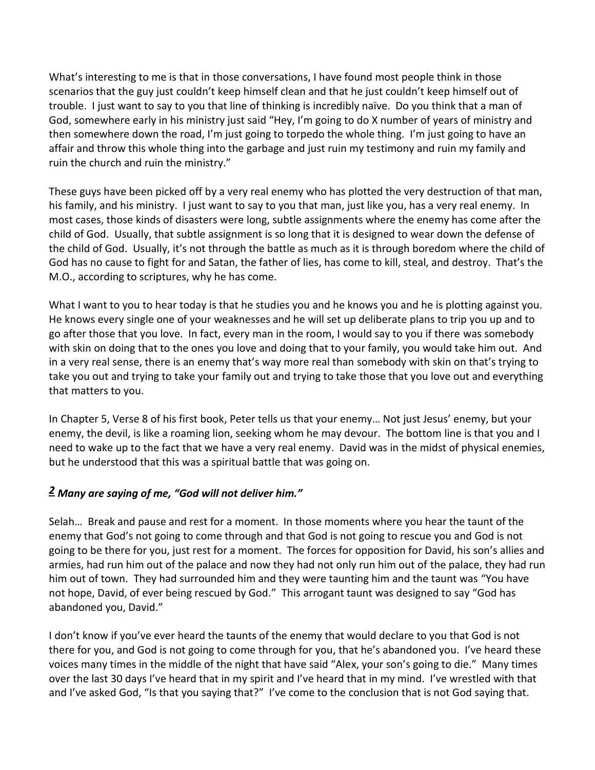What's interesting to me is that in those conversations, I have found most people think in those scenarios that the guy just couldn't keep himself clean and that he just couldn't keep himself out of trouble. I just want to say to you that line of thinking is incredibly naïve. Do you think that a man of God, somewhere early in his ministry just said "Hey, I'm going to do X number of years of ministry and then somewhere down the road, I'm just going to torpedo the whole thing. I'm just going to have an affair and throw this whole thing into the garbage and just ruin my testimony and ruin my family and ruin the church and ruin the ministry."

These guys have been picked off by a very real enemy who has plotted the very destruction of that man, his family, and his ministry. I just want to say to you that man, just like you, has a very real enemy. In most cases, those kinds of disasters were long, subtle assignments where the enemy has come after the child of God. Usually, that subtle assignment is so long that it is designed to wear down the defense of the child of God. Usually, it's not through the battle as much as it is through boredom where the child of God has no cause to fight for and Satan, the father of lies, has come to kill, steal, and destroy. That's the M.O., according to scriptures, why he has come.

What I want to you to hear today is that he studies you and he knows you and he is plotting against you. He knows every single one of your weaknesses and he will set up deliberate plans to trip you up and to go after those that you love. In fact, every man in the room, I would say to you if there was somebody with skin on doing that to the ones you love and doing that to your family, you would take him out. And in a very real sense, there is an enemy that's way more real than somebody with skin on that's trying to take you out and trying to take your family out and trying to take those that you love out and everything that matters to you.

In Chapter 5, Verse 8 of his first book, Peter tells us that your enemy… Not just Jesus' enemy, but your enemy, the devil, is like a roaming lion, seeking whom he may devour. The bottom line is that you and I need to wake up to the fact that we have a very real enemy. David was in the midst of physical enemies, but he understood that this was a spiritual battle that was going on.

### *[2](http://www.studylight.org/desk/?q=ps%203:2&t1=en_niv&sr=1) Many are saying of me, "God will not deliver him."*

Selah… Break and pause and rest for a moment. In those moments where you hear the taunt of the enemy that God's not going to come through and that God is not going to rescue you and God is not going to be there for you, just rest for a moment. The forces for opposition for David, his son's allies and armies, had run him out of the palace and now they had not only run him out of the palace, they had run him out of town. They had surrounded him and they were taunting him and the taunt was "You have not hope, David, of ever being rescued by God." This arrogant taunt was designed to say "God has abandoned you, David."

I don't know if you've ever heard the taunts of the enemy that would declare to you that God is not there for you, and God is not going to come through for you, that he's abandoned you. I've heard these voices many times in the middle of the night that have said "Alex, your son's going to die." Many times over the last 30 days I've heard that in my spirit and I've heard that in my mind. I've wrestled with that and I've asked God, "Is that you saying that?" I've come to the conclusion that is not God saying that.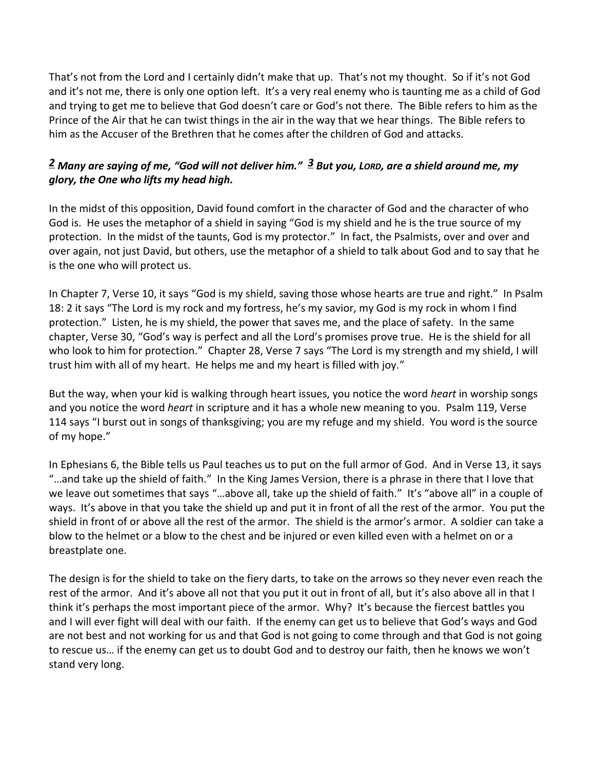That's not from the Lord and I certainly didn't make that up. That's not my thought. So if it's not God and it's not me, there is only one option left. It's a very real enemy who is taunting me as a child of God and trying to get me to believe that God doesn't care or God's not there. The Bible refers to him as the Prince of the Air that he can twist things in the air in the way that we hear things. The Bible refers to him as the Accuser of the Brethren that he comes after the children of God and attacks.

# *[2](http://www.studylight.org/desk/?q=ps%203:2&t1=en_niv&sr=1) Many are saying of me, "God will not deliver him." [3](http://www.studylight.org/desk/?q=ps%203:3&t1=en_niv&sr=1) But you, LORD, are a shield around me, my glory, the One who lifts my head high.*

In the midst of this opposition, David found comfort in the character of God and the character of who God is. He uses the metaphor of a shield in saying "God is my shield and he is the true source of my protection. In the midst of the taunts, God is my protector." In fact, the Psalmists, over and over and over again, not just David, but others, use the metaphor of a shield to talk about God and to say that he is the one who will protect us.

In Chapter 7, Verse 10, it says "God is my shield, saving those whose hearts are true and right." In Psalm 18: 2 it says "The Lord is my rock and my fortress, he's my savior, my God is my rock in whom I find protection." Listen, he is my shield, the power that saves me, and the place of safety. In the same chapter, Verse 30, "God's way is perfect and all the Lord's promises prove true. He is the shield for all who look to him for protection." Chapter 28, Verse 7 says "The Lord is my strength and my shield, I will trust him with all of my heart. He helps me and my heart is filled with joy."

But the way, when your kid is walking through heart issues, you notice the word *heart* in worship songs and you notice the word *heart* in scripture and it has a whole new meaning to you. Psalm 119, Verse 114 says "I burst out in songs of thanksgiving; you are my refuge and my shield. You word is the source of my hope."

In Ephesians 6, the Bible tells us Paul teaches us to put on the full armor of God. And in Verse 13, it says "…and take up the shield of faith." In the King James Version, there is a phrase in there that I love that we leave out sometimes that says "…above all, take up the shield of faith." It's "above all" in a couple of ways. It's above in that you take the shield up and put it in front of all the rest of the armor. You put the shield in front of or above all the rest of the armor. The shield is the armor's armor. A soldier can take a blow to the helmet or a blow to the chest and be injured or even killed even with a helmet on or a breastplate one.

The design is for the shield to take on the fiery darts, to take on the arrows so they never even reach the rest of the armor. And it's above all not that you put it out in front of all, but it's also above all in that I think it's perhaps the most important piece of the armor. Why? It's because the fiercest battles you and I will ever fight will deal with our faith. If the enemy can get us to believe that God's ways and God are not best and not working for us and that God is not going to come through and that God is not going to rescue us… if the enemy can get us to doubt God and to destroy our faith, then he knows we won't stand very long.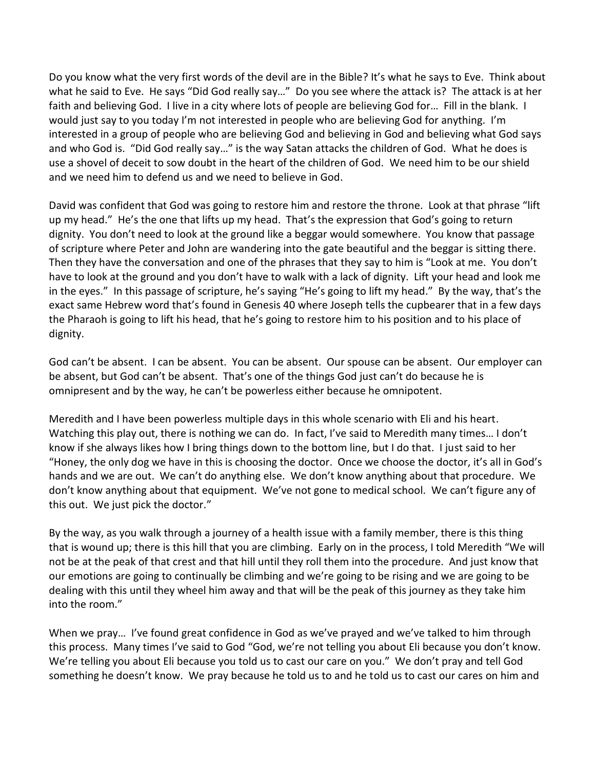Do you know what the very first words of the devil are in the Bible? It's what he says to Eve. Think about what he said to Eve. He says "Did God really say…" Do you see where the attack is? The attack is at her faith and believing God. I live in a city where lots of people are believing God for… Fill in the blank. I would just say to you today I'm not interested in people who are believing God for anything. I'm interested in a group of people who are believing God and believing in God and believing what God says and who God is. "Did God really say…" is the way Satan attacks the children of God. What he does is use a shovel of deceit to sow doubt in the heart of the children of God. We need him to be our shield and we need him to defend us and we need to believe in God.

David was confident that God was going to restore him and restore the throne. Look at that phrase "lift up my head." He's the one that lifts up my head. That's the expression that God's going to return dignity. You don't need to look at the ground like a beggar would somewhere. You know that passage of scripture where Peter and John are wandering into the gate beautiful and the beggar is sitting there. Then they have the conversation and one of the phrases that they say to him is "Look at me. You don't have to look at the ground and you don't have to walk with a lack of dignity. Lift your head and look me in the eyes." In this passage of scripture, he's saying "He's going to lift my head." By the way, that's the exact same Hebrew word that's found in Genesis 40 where Joseph tells the cupbearer that in a few days the Pharaoh is going to lift his head, that he's going to restore him to his position and to his place of dignity.

God can't be absent. I can be absent. You can be absent. Our spouse can be absent. Our employer can be absent, but God can't be absent. That's one of the things God just can't do because he is omnipresent and by the way, he can't be powerless either because he omnipotent.

Meredith and I have been powerless multiple days in this whole scenario with Eli and his heart. Watching this play out, there is nothing we can do. In fact, I've said to Meredith many times… I don't know if she always likes how I bring things down to the bottom line, but I do that. I just said to her "Honey, the only dog we have in this is choosing the doctor. Once we choose the doctor, it's all in God's hands and we are out. We can't do anything else. We don't know anything about that procedure. We don't know anything about that equipment. We've not gone to medical school. We can't figure any of this out. We just pick the doctor."

By the way, as you walk through a journey of a health issue with a family member, there is this thing that is wound up; there is this hill that you are climbing. Early on in the process, I told Meredith "We will not be at the peak of that crest and that hill until they roll them into the procedure. And just know that our emotions are going to continually be climbing and we're going to be rising and we are going to be dealing with this until they wheel him away and that will be the peak of this journey as they take him into the room."

When we pray… I've found great confidence in God as we've prayed and we've talked to him through this process. Many times I've said to God "God, we're not telling you about Eli because you don't know. We're telling you about Eli because you told us to cast our care on you." We don't pray and tell God something he doesn't know. We pray because he told us to and he told us to cast our cares on him and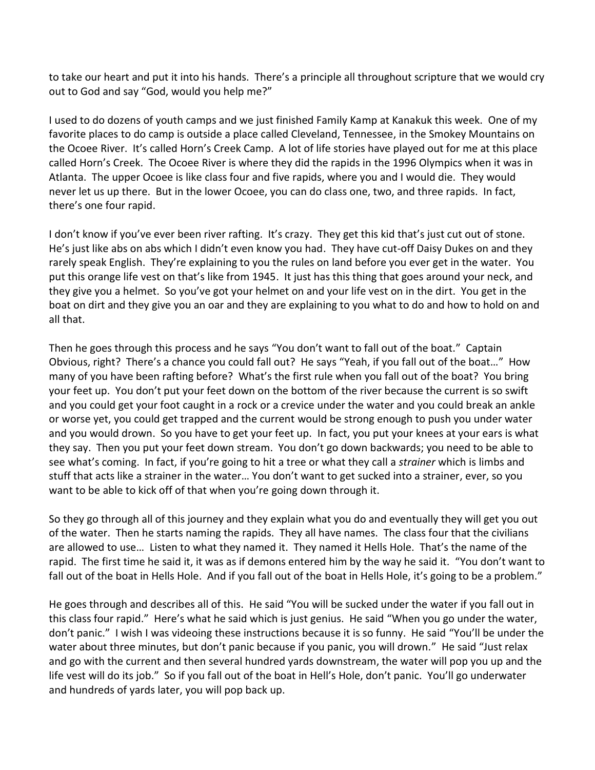to take our heart and put it into his hands. There's a principle all throughout scripture that we would cry out to God and say "God, would you help me?"

I used to do dozens of youth camps and we just finished Family Kamp at Kanakuk this week. One of my favorite places to do camp is outside a place called Cleveland, Tennessee, in the Smokey Mountains on the Ocoee River. It's called Horn's Creek Camp. A lot of life stories have played out for me at this place called Horn's Creek. The Ocoee River is where they did the rapids in the 1996 Olympics when it was in Atlanta. The upper Ocoee is like class four and five rapids, where you and I would die. They would never let us up there. But in the lower Ocoee, you can do class one, two, and three rapids. In fact, there's one four rapid.

I don't know if you've ever been river rafting. It's crazy. They get this kid that's just cut out of stone. He's just like abs on abs which I didn't even know you had. They have cut-off Daisy Dukes on and they rarely speak English. They're explaining to you the rules on land before you ever get in the water. You put this orange life vest on that's like from 1945. It just has this thing that goes around your neck, and they give you a helmet. So you've got your helmet on and your life vest on in the dirt. You get in the boat on dirt and they give you an oar and they are explaining to you what to do and how to hold on and all that.

Then he goes through this process and he says "You don't want to fall out of the boat." Captain Obvious, right? There's a chance you could fall out? He says "Yeah, if you fall out of the boat…" How many of you have been rafting before? What's the first rule when you fall out of the boat? You bring your feet up. You don't put your feet down on the bottom of the river because the current is so swift and you could get your foot caught in a rock or a crevice under the water and you could break an ankle or worse yet, you could get trapped and the current would be strong enough to push you under water and you would drown. So you have to get your feet up. In fact, you put your knees at your ears is what they say. Then you put your feet down stream. You don't go down backwards; you need to be able to see what's coming. In fact, if you're going to hit a tree or what they call a *strainer* which is limbs and stuff that acts like a strainer in the water… You don't want to get sucked into a strainer, ever, so you want to be able to kick off of that when you're going down through it.

So they go through all of this journey and they explain what you do and eventually they will get you out of the water. Then he starts naming the rapids. They all have names. The class four that the civilians are allowed to use… Listen to what they named it. They named it Hells Hole. That's the name of the rapid. The first time he said it, it was as if demons entered him by the way he said it. "You don't want to fall out of the boat in Hells Hole. And if you fall out of the boat in Hells Hole, it's going to be a problem."

He goes through and describes all of this. He said "You will be sucked under the water if you fall out in this class four rapid." Here's what he said which is just genius. He said "When you go under the water, don't panic." I wish I was videoing these instructions because it is so funny. He said "You'll be under the water about three minutes, but don't panic because if you panic, you will drown." He said "Just relax and go with the current and then several hundred yards downstream, the water will pop you up and the life vest will do its job." So if you fall out of the boat in Hell's Hole, don't panic. You'll go underwater and hundreds of yards later, you will pop back up.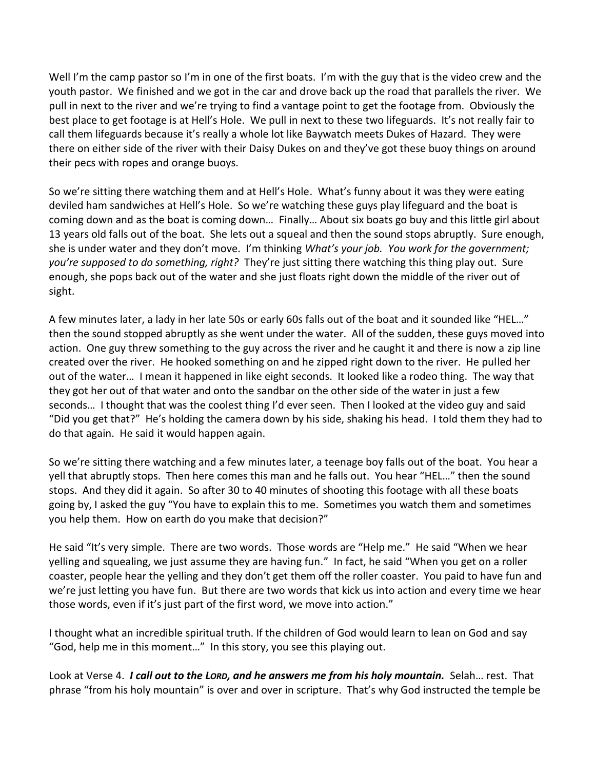Well I'm the camp pastor so I'm in one of the first boats. I'm with the guy that is the video crew and the youth pastor. We finished and we got in the car and drove back up the road that parallels the river. We pull in next to the river and we're trying to find a vantage point to get the footage from. Obviously the best place to get footage is at Hell's Hole. We pull in next to these two lifeguards. It's not really fair to call them lifeguards because it's really a whole lot like Baywatch meets Dukes of Hazard. They were there on either side of the river with their Daisy Dukes on and they've got these buoy things on around their pecs with ropes and orange buoys.

So we're sitting there watching them and at Hell's Hole. What's funny about it was they were eating deviled ham sandwiches at Hell's Hole. So we're watching these guys play lifeguard and the boat is coming down and as the boat is coming down… Finally… About six boats go buy and this little girl about 13 years old falls out of the boat. She lets out a squeal and then the sound stops abruptly. Sure enough, she is under water and they don't move. I'm thinking *What's your job. You work for the government; you're supposed to do something, right?* They're just sitting there watching this thing play out. Sure enough, she pops back out of the water and she just floats right down the middle of the river out of sight.

A few minutes later, a lady in her late 50s or early 60s falls out of the boat and it sounded like "HEL…" then the sound stopped abruptly as she went under the water. All of the sudden, these guys moved into action. One guy threw something to the guy across the river and he caught it and there is now a zip line created over the river. He hooked something on and he zipped right down to the river. He pulled her out of the water… I mean it happened in like eight seconds. It looked like a rodeo thing. The way that they got her out of that water and onto the sandbar on the other side of the water in just a few seconds… I thought that was the coolest thing I'd ever seen. Then I looked at the video guy and said "Did you get that?" He's holding the camera down by his side, shaking his head. I told them they had to do that again. He said it would happen again.

So we're sitting there watching and a few minutes later, a teenage boy falls out of the boat. You hear a yell that abruptly stops. Then here comes this man and he falls out. You hear "HEL…" then the sound stops. And they did it again. So after 30 to 40 minutes of shooting this footage with all these boats going by, I asked the guy "You have to explain this to me. Sometimes you watch them and sometimes you help them. How on earth do you make that decision?"

He said "It's very simple. There are two words. Those words are "Help me." He said "When we hear yelling and squealing, we just assume they are having fun." In fact, he said "When you get on a roller coaster, people hear the yelling and they don't get them off the roller coaster. You paid to have fun and we're just letting you have fun. But there are two words that kick us into action and every time we hear those words, even if it's just part of the first word, we move into action."

I thought what an incredible spiritual truth. If the children of God would learn to lean on God and say "God, help me in this moment…" In this story, you see this playing out.

Look at Verse 4. *I call out to the LORD, and he answers me from his holy mountain.* Selah… rest. That phrase "from his holy mountain" is over and over in scripture. That's why God instructed the temple be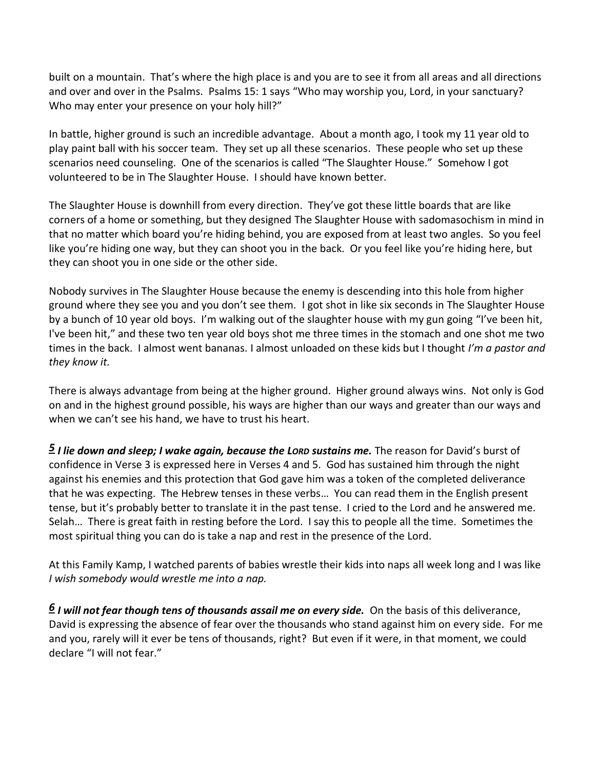built on a mountain. That's where the high place is and you are to see it from all areas and all directions and over and over in the Psalms. Psalms 15: 1 says "Who may worship you, Lord, in your sanctuary? Who may enter your presence on your holy hill?"

In battle, higher ground is such an incredible advantage. About a month ago, I took my 11 year old to play paint ball with his soccer team. They set up all these scenarios. These people who set up these scenarios need counseling. One of the scenarios is called "The Slaughter House." Somehow I got volunteered to be in The Slaughter House. I should have known better.

The Slaughter House is downhill from every direction. They've got these little boards that are like corners of a home or something, but they designed The Slaughter House with sadomasochism in mind in that no matter which board you're hiding behind, you are exposed from at least two angles. So you feel like you're hiding one way, but they can shoot you in the back. Or you feel like you're hiding here, but they can shoot you in one side or the other side.

Nobody survives in The Slaughter House because the enemy is descending into this hole from higher ground where they see you and you don't see them. I got shot in like six seconds in The Slaughter House by a bunch of 10 year old boys. I'm walking out of the slaughter house with my gun going "I've been hit, I've been hit," and these two ten year old boys shot me three times in the stomach and one shot me two times in the back. I almost went bananas. I almost unloaded on these kids but I thought *I'm a pastor and they know it.* 

There is always advantage from being at the higher ground. Higher ground always wins. Not only is God on and in the highest ground possible, his ways are higher than our ways and greater than our ways and when we can't see his hand, we have to trust his heart.

*[5](http://www.studylight.org/desk/?q=ps%203:5&t1=en_niv&sr=1) I lie down and sleep; I wake again, because the LORD sustains me.* The reason for David's burst of confidence in Verse 3 is expressed here in Verses 4 and 5. God has sustained him through the night against his enemies and this protection that God gave him was a token of the completed deliverance that he was expecting. The Hebrew tenses in these verbs… You can read them in the English present tense, but it's probably better to translate it in the past tense. I cried to the Lord and he answered me. Selah… There is great faith in resting before the Lord. I say this to people all the time. Sometimes the most spiritual thing you can do is take a nap and rest in the presence of the Lord.

At this Family Kamp, I watched parents of babies wrestle their kids into naps all week long and I was like *I wish somebody would wrestle me into a nap.*

*[6](http://www.studylight.org/desk/?q=ps%203:6&t1=en_niv&sr=1) I will not fear though tens of thousands assail me on every side.* On the basis of this deliverance, David is expressing the absence of fear over the thousands who stand against him on every side. For me and you, rarely will it ever be tens of thousands, right? But even if it were, in that moment, we could declare "I will not fear."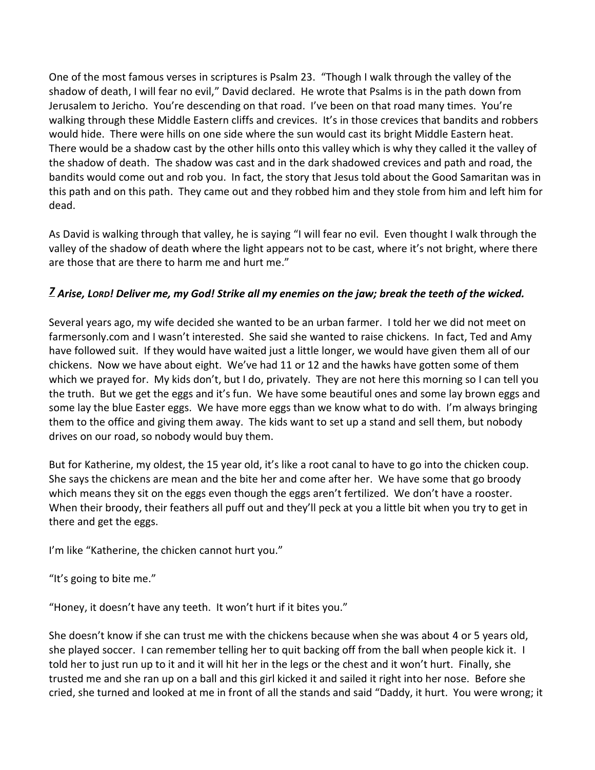One of the most famous verses in scriptures is Psalm 23. "Though I walk through the valley of the shadow of death, I will fear no evil," David declared. He wrote that Psalms is in the path down from Jerusalem to Jericho. You're descending on that road. I've been on that road many times. You're walking through these Middle Eastern cliffs and crevices. It's in those crevices that bandits and robbers would hide. There were hills on one side where the sun would cast its bright Middle Eastern heat. There would be a shadow cast by the other hills onto this valley which is why they called it the valley of the shadow of death. The shadow was cast and in the dark shadowed crevices and path and road, the bandits would come out and rob you. In fact, the story that Jesus told about the Good Samaritan was in this path and on this path. They came out and they robbed him and they stole from him and left him for dead.

As David is walking through that valley, he is saying "I will fear no evil. Even thought I walk through the valley of the shadow of death where the light appears not to be cast, where it's not bright, where there are those that are there to harm me and hurt me."

# *[7](http://www.studylight.org/desk/?q=ps%203:7&t1=en_niv&sr=1) Arise, LORD! Deliver me, my God! Strike all my enemies on the jaw; break the teeth of the wicked.*

Several years ago, my wife decided she wanted to be an urban farmer. I told her we did not meet on farmersonly.com and I wasn't interested. She said she wanted to raise chickens. In fact, Ted and Amy have followed suit. If they would have waited just a little longer, we would have given them all of our chickens. Now we have about eight. We've had 11 or 12 and the hawks have gotten some of them which we prayed for. My kids don't, but I do, privately. They are not here this morning so I can tell you the truth. But we get the eggs and it's fun. We have some beautiful ones and some lay brown eggs and some lay the blue Easter eggs. We have more eggs than we know what to do with. I'm always bringing them to the office and giving them away. The kids want to set up a stand and sell them, but nobody drives on our road, so nobody would buy them.

But for Katherine, my oldest, the 15 year old, it's like a root canal to have to go into the chicken coup. She says the chickens are mean and the bite her and come after her. We have some that go broody which means they sit on the eggs even though the eggs aren't fertilized. We don't have a rooster. When their broody, their feathers all puff out and they'll peck at you a little bit when you try to get in there and get the eggs.

I'm like "Katherine, the chicken cannot hurt you."

"It's going to bite me."

"Honey, it doesn't have any teeth. It won't hurt if it bites you."

She doesn't know if she can trust me with the chickens because when she was about 4 or 5 years old, she played soccer. I can remember telling her to quit backing off from the ball when people kick it. I told her to just run up to it and it will hit her in the legs or the chest and it won't hurt. Finally, she trusted me and she ran up on a ball and this girl kicked it and sailed it right into her nose. Before she cried, she turned and looked at me in front of all the stands and said "Daddy, it hurt. You were wrong; it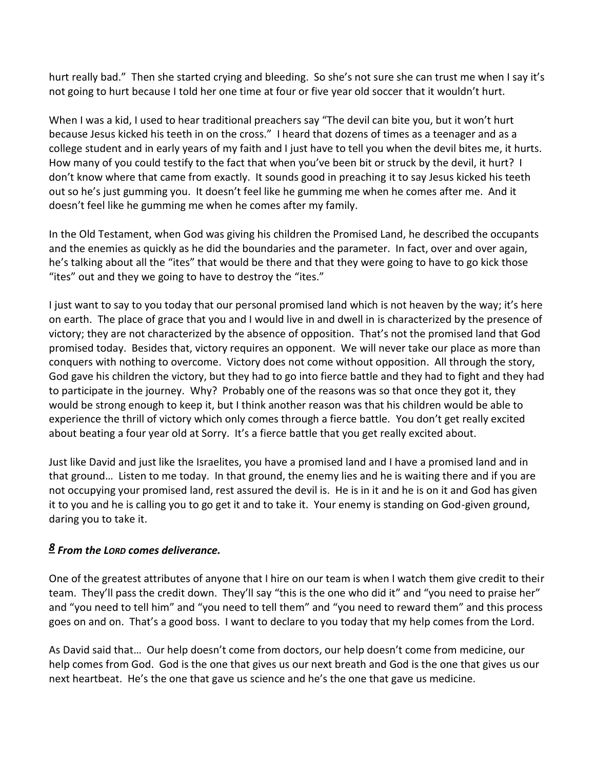hurt really bad." Then she started crying and bleeding. So she's not sure she can trust me when I say it's not going to hurt because I told her one time at four or five year old soccer that it wouldn't hurt.

When I was a kid, I used to hear traditional preachers say "The devil can bite you, but it won't hurt because Jesus kicked his teeth in on the cross." I heard that dozens of times as a teenager and as a college student and in early years of my faith and I just have to tell you when the devil bites me, it hurts. How many of you could testify to the fact that when you've been bit or struck by the devil, it hurt? I don't know where that came from exactly. It sounds good in preaching it to say Jesus kicked his teeth out so he's just gumming you. It doesn't feel like he gumming me when he comes after me. And it doesn't feel like he gumming me when he comes after my family.

In the Old Testament, when God was giving his children the Promised Land, he described the occupants and the enemies as quickly as he did the boundaries and the parameter. In fact, over and over again, he's talking about all the "ites" that would be there and that they were going to have to go kick those "ites" out and they we going to have to destroy the "ites."

I just want to say to you today that our personal promised land which is not heaven by the way; it's here on earth. The place of grace that you and I would live in and dwell in is characterized by the presence of victory; they are not characterized by the absence of opposition. That's not the promised land that God promised today. Besides that, victory requires an opponent. We will never take our place as more than conquers with nothing to overcome. Victory does not come without opposition. All through the story, God gave his children the victory, but they had to go into fierce battle and they had to fight and they had to participate in the journey. Why? Probably one of the reasons was so that once they got it, they would be strong enough to keep it, but I think another reason was that his children would be able to experience the thrill of victory which only comes through a fierce battle. You don't get really excited about beating a four year old at Sorry. It's a fierce battle that you get really excited about.

Just like David and just like the Israelites, you have a promised land and I have a promised land and in that ground… Listen to me today. In that ground, the enemy lies and he is waiting there and if you are not occupying your promised land, rest assured the devil is. He is in it and he is on it and God has given it to you and he is calling you to go get it and to take it. Your enemy is standing on God-given ground, daring you to take it.

# *[8](http://www.studylight.org/desk/?q=ps%203:8&t1=en_niv&sr=1) From the LORD comes deliverance.*

One of the greatest attributes of anyone that I hire on our team is when I watch them give credit to their team. They'll pass the credit down. They'll say "this is the one who did it" and "you need to praise her" and "you need to tell him" and "you need to tell them" and "you need to reward them" and this process goes on and on. That's a good boss. I want to declare to you today that my help comes from the Lord.

As David said that… Our help doesn't come from doctors, our help doesn't come from medicine, our help comes from God. God is the one that gives us our next breath and God is the one that gives us our next heartbeat. He's the one that gave us science and he's the one that gave us medicine.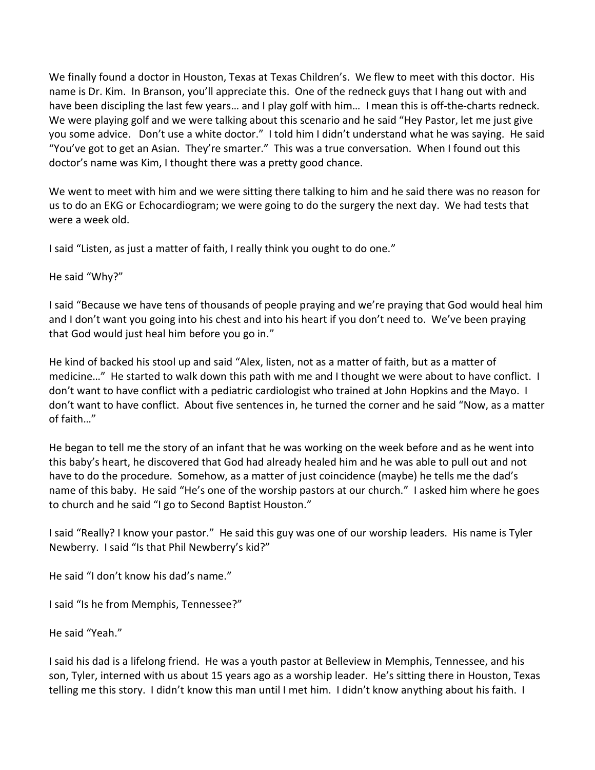We finally found a doctor in Houston, Texas at Texas Children's. We flew to meet with this doctor. His name is Dr. Kim. In Branson, you'll appreciate this. One of the redneck guys that I hang out with and have been discipling the last few years… and I play golf with him… I mean this is off-the-charts redneck. We were playing golf and we were talking about this scenario and he said "Hey Pastor, let me just give you some advice. Don't use a white doctor." I told him I didn't understand what he was saying. He said "You've got to get an Asian. They're smarter." This was a true conversation. When I found out this doctor's name was Kim, I thought there was a pretty good chance.

We went to meet with him and we were sitting there talking to him and he said there was no reason for us to do an EKG or Echocardiogram; we were going to do the surgery the next day. We had tests that were a week old.

I said "Listen, as just a matter of faith, I really think you ought to do one."

He said "Why?"

I said "Because we have tens of thousands of people praying and we're praying that God would heal him and I don't want you going into his chest and into his heart if you don't need to. We've been praying that God would just heal him before you go in."

He kind of backed his stool up and said "Alex, listen, not as a matter of faith, but as a matter of medicine…" He started to walk down this path with me and I thought we were about to have conflict. I don't want to have conflict with a pediatric cardiologist who trained at John Hopkins and the Mayo. I don't want to have conflict. About five sentences in, he turned the corner and he said "Now, as a matter of faith…"

He began to tell me the story of an infant that he was working on the week before and as he went into this baby's heart, he discovered that God had already healed him and he was able to pull out and not have to do the procedure. Somehow, as a matter of just coincidence (maybe) he tells me the dad's name of this baby. He said "He's one of the worship pastors at our church." I asked him where he goes to church and he said "I go to Second Baptist Houston."

I said "Really? I know your pastor." He said this guy was one of our worship leaders. His name is Tyler Newberry. I said "Is that Phil Newberry's kid?"

He said "I don't know his dad's name."

I said "Is he from Memphis, Tennessee?"

He said "Yeah."

I said his dad is a lifelong friend. He was a youth pastor at Belleview in Memphis, Tennessee, and his son, Tyler, interned with us about 15 years ago as a worship leader. He's sitting there in Houston, Texas telling me this story. I didn't know this man until I met him. I didn't know anything about his faith. I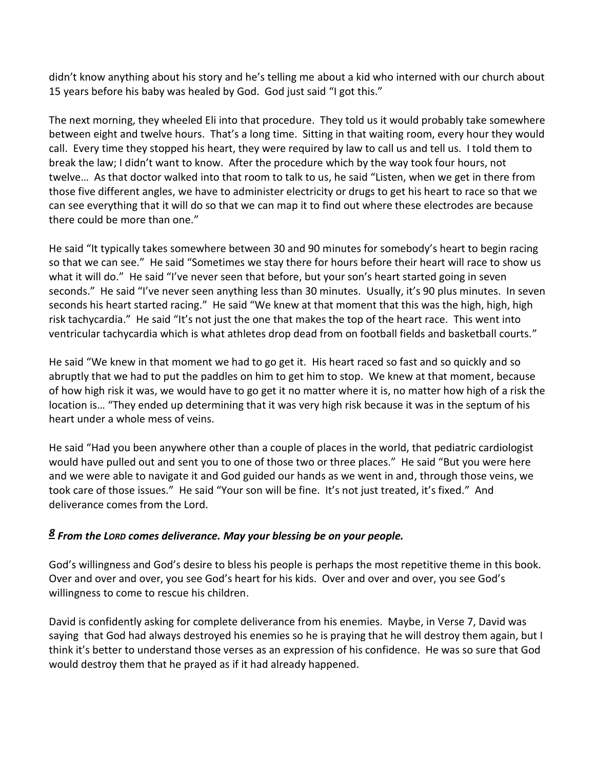didn't know anything about his story and he's telling me about a kid who interned with our church about 15 years before his baby was healed by God. God just said "I got this."

The next morning, they wheeled Eli into that procedure. They told us it would probably take somewhere between eight and twelve hours. That's a long time. Sitting in that waiting room, every hour they would call. Every time they stopped his heart, they were required by law to call us and tell us. I told them to break the law; I didn't want to know. After the procedure which by the way took four hours, not twelve… As that doctor walked into that room to talk to us, he said "Listen, when we get in there from those five different angles, we have to administer electricity or drugs to get his heart to race so that we can see everything that it will do so that we can map it to find out where these electrodes are because there could be more than one."

He said "It typically takes somewhere between 30 and 90 minutes for somebody's heart to begin racing so that we can see." He said "Sometimes we stay there for hours before their heart will race to show us what it will do." He said "I've never seen that before, but your son's heart started going in seven seconds." He said "I've never seen anything less than 30 minutes. Usually, it's 90 plus minutes. In seven seconds his heart started racing." He said "We knew at that moment that this was the high, high, high risk tachycardia." He said "It's not just the one that makes the top of the heart race. This went into ventricular tachycardia which is what athletes drop dead from on football fields and basketball courts."

He said "We knew in that moment we had to go get it. His heart raced so fast and so quickly and so abruptly that we had to put the paddles on him to get him to stop. We knew at that moment, because of how high risk it was, we would have to go get it no matter where it is, no matter how high of a risk the location is… "They ended up determining that it was very high risk because it was in the septum of his heart under a whole mess of veins.

He said "Had you been anywhere other than a couple of places in the world, that pediatric cardiologist would have pulled out and sent you to one of those two or three places." He said "But you were here and we were able to navigate it and God guided our hands as we went in and, through those veins, we took care of those issues." He said "Your son will be fine. It's not just treated, it's fixed." And deliverance comes from the Lord.

### *[8](http://www.studylight.org/desk/?q=ps%203:8&t1=en_niv&sr=1) From the LORD comes deliverance. May your blessing be on your people.*

God's willingness and God's desire to bless his people is perhaps the most repetitive theme in this book. Over and over and over, you see God's heart for his kids. Over and over and over, you see God's willingness to come to rescue his children.

David is confidently asking for complete deliverance from his enemies. Maybe, in Verse 7, David was saying that God had always destroyed his enemies so he is praying that he will destroy them again, but I think it's better to understand those verses as an expression of his confidence. He was so sure that God would destroy them that he prayed as if it had already happened.